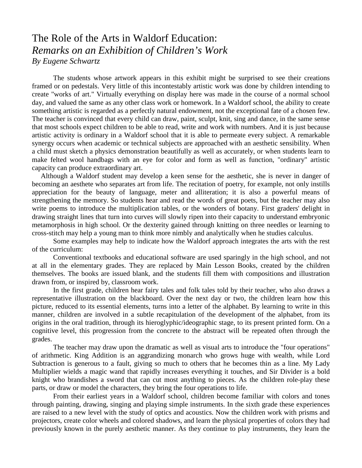## The Role of the Arts in Waldorf Education: *Remarks on an Exhibition of Children's Work By Eugene Schwartz*

The students whose artwork appears in this exhibit might be surprised to see their creations framed or on pedestals. Very little of this incontestably artistic work was done by children intending to create "works of art." Virtually everything on display here was made in the course of a normal school day, and valued the same as any other class work or homework. In a Waldorf school, the ability to create something artistic is regarded as a perfectly natural endowment, not the exceptional fate of a chosen few. The teacher is convinced that every child can draw, paint, sculpt, knit, sing and dance, in the same sense that most schools expect children to be able to read, write and work with numbers. And it is just because artistic activity is ordinary in a Waldorf school that it is able to permeate every subject. A remarkable synergy occurs when academic or technical subjects are approached with an aesthetic sensibility. When a child must sketch a physics demonstration beautifully as well as accurately, or when students learn to make felted wool handbags with an eye for color and form as well as function, "ordinary" artistic capacity can produce extraordinary art.

 Although a Waldorf student may develop a keen sense for the aesthetic, she is never in danger of becoming an aesthete who separates art from life. The recitation of poetry, for example, not only instills appreciation for the beauty of language, meter and alliteration; it is also a powerful means of strengthening the memory. So students hear and read the words of great poets, but the teacher may also write poems to introduce the multiplication tables, or the wonders of botany. First graders' delight in drawing straight lines that turn into curves will slowly ripen into their capacity to understand embryonic metamorphosis in high school. Or the dexterity gained through knitting on three needles or learning to cross-stitch may help a young man to think more nimbly and analytically when he studies calculus.

 Some examples may help to indicate how the Waldorf approach integrates the arts with the rest of the curriculum:

Conventional textbooks and educational software are used sparingly in the high school, and not at all in the elementary grades. They are replaced by Main Lesson Books, created by the children themselves. The books are issued blank, and the students fill them with compositions and illustration drawn from, or inspired by, classroom work.

In the first grade, children hear fairy tales and folk tales told by their teacher, who also draws a representative illustration on the blackboard. Over the next day or two, the children learn how this picture, reduced to its essential elements, turns into a letter of the alphabet. By learning to write in this manner, children are involved in a subtle recapitulation of the development of the alphabet, from its origins in the oral tradition, through its hieroglyphic/ideographic stage, to its present printed form. On a cognitive level, this progression from the concrete to the abstract will be repeated often through the grades.

The teacher may draw upon the dramatic as well as visual arts to introduce the "four operations" of arithmetic. King Addition is an aggrandizing monarch who grows huge with wealth, while Lord Subtraction is generous to a fault, giving so much to others that he becomes thin as a line. My Lady Multiplier wields a magic wand that rapidly increases everything it touches, and Sir Divider is a bold knight who brandishes a sword that can cut most anything to pieces. As the children role-play these parts, or draw or model the characters, they bring the four operations to life.

From their earliest years in a Waldorf school, children become familiar with colors and tones through painting, drawing, singing and playing simple instruments. In the sixth grade these experiences are raised to a new level with the study of optics and acoustics. Now the children work with prisms and projectors, create color wheels and colored shadows, and learn the physical properties of colors they had previously known in the purely aesthetic manner. As they continue to play instruments, they learn the